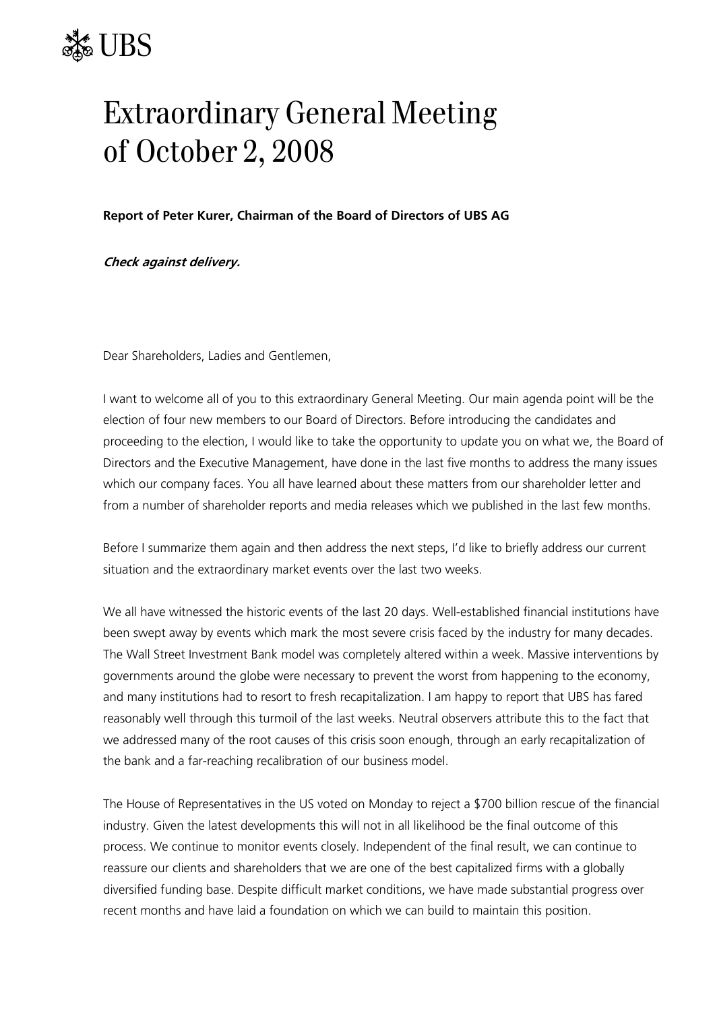# a UBS

# Extraordinary General Meeting of October 2, 2008

## **Report of Peter Kurer, Chairman of the Board of Directors of UBS AG**

**Check against delivery.** 

Dear Shareholders, Ladies and Gentlemen,

I want to welcome all of you to this extraordinary General Meeting. Our main agenda point will be the election of four new members to our Board of Directors. Before introducing the candidates and proceeding to the election, I would like to take the opportunity to update you on what we, the Board of Directors and the Executive Management, have done in the last five months to address the many issues which our company faces. You all have learned about these matters from our shareholder letter and from a number of shareholder reports and media releases which we published in the last few months.

Before I summarize them again and then address the next steps, I'd like to briefly address our current situation and the extraordinary market events over the last two weeks.

We all have witnessed the historic events of the last 20 days. Well-established financial institutions have been swept away by events which mark the most severe crisis faced by the industry for many decades. The Wall Street Investment Bank model was completely altered within a week. Massive interventions by governments around the globe were necessary to prevent the worst from happening to the economy, and many institutions had to resort to fresh recapitalization. I am happy to report that UBS has fared reasonably well through this turmoil of the last weeks. Neutral observers attribute this to the fact that we addressed many of the root causes of this crisis soon enough, through an early recapitalization of the bank and a far-reaching recalibration of our business model.

The House of Representatives in the US voted on Monday to reject a \$700 billion rescue of the financial industry. Given the latest developments this will not in all likelihood be the final outcome of this process. We continue to monitor events closely. Independent of the final result, we can continue to reassure our clients and shareholders that we are one of the best capitalized firms with a globally diversified funding base. Despite difficult market conditions, we have made substantial progress over recent months and have laid a foundation on which we can build to maintain this position.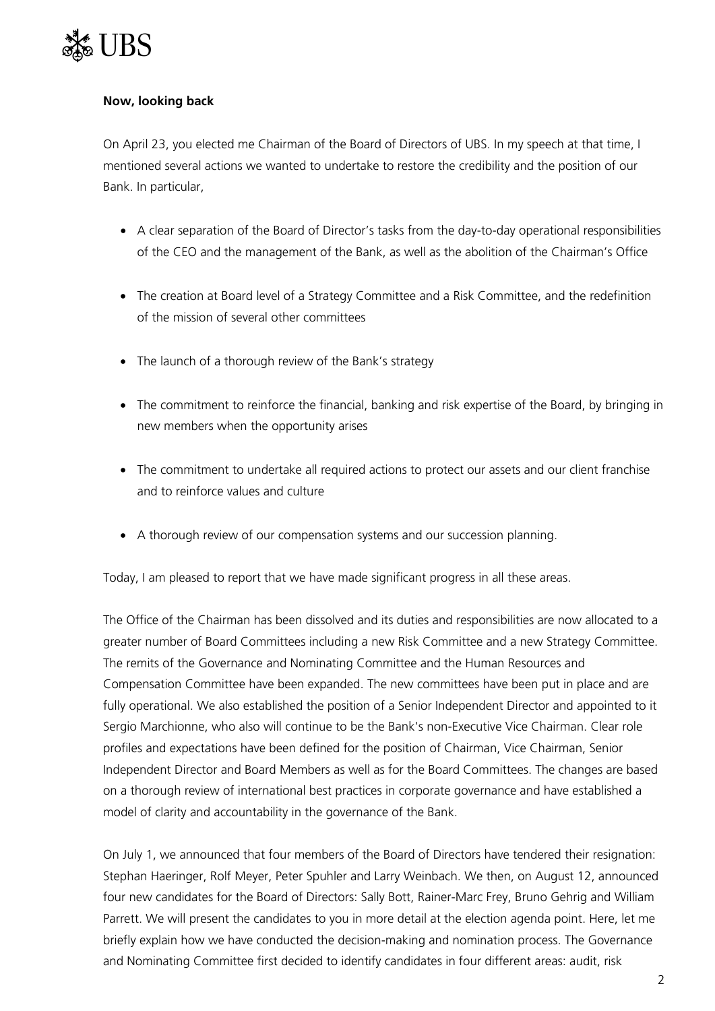

### **Now, looking back**

On April 23, you elected me Chairman of the Board of Directors of UBS. In my speech at that time, I mentioned several actions we wanted to undertake to restore the credibility and the position of our Bank. In particular,

- A clear separation of the Board of Director's tasks from the day-to-day operational responsibilities of the CEO and the management of the Bank, as well as the abolition of the Chairman's Office
- The creation at Board level of a Strategy Committee and a Risk Committee, and the redefinition of the mission of several other committees
- The launch of a thorough review of the Bank's strategy
- The commitment to reinforce the financial, banking and risk expertise of the Board, by bringing in new members when the opportunity arises
- The commitment to undertake all required actions to protect our assets and our client franchise and to reinforce values and culture
- A thorough review of our compensation systems and our succession planning.

Today, I am pleased to report that we have made significant progress in all these areas.

The Office of the Chairman has been dissolved and its duties and responsibilities are now allocated to a greater number of Board Committees including a new Risk Committee and a new Strategy Committee. The remits of the Governance and Nominating Committee and the Human Resources and Compensation Committee have been expanded. The new committees have been put in place and are fully operational. We also established the position of a Senior Independent Director and appointed to it Sergio Marchionne, who also will continue to be the Bank's non-Executive Vice Chairman. Clear role profiles and expectations have been defined for the position of Chairman, Vice Chairman, Senior Independent Director and Board Members as well as for the Board Committees. The changes are based on a thorough review of international best practices in corporate governance and have established a model of clarity and accountability in the governance of the Bank.

On July 1, we announced that four members of the Board of Directors have tendered their resignation: Stephan Haeringer, Rolf Meyer, Peter Spuhler and Larry Weinbach. We then, on August 12, announced four new candidates for the Board of Directors: Sally Bott, Rainer-Marc Frey, Bruno Gehrig and William Parrett. We will present the candidates to you in more detail at the election agenda point. Here, let me briefly explain how we have conducted the decision-making and nomination process. The Governance and Nominating Committee first decided to identify candidates in four different areas: audit, risk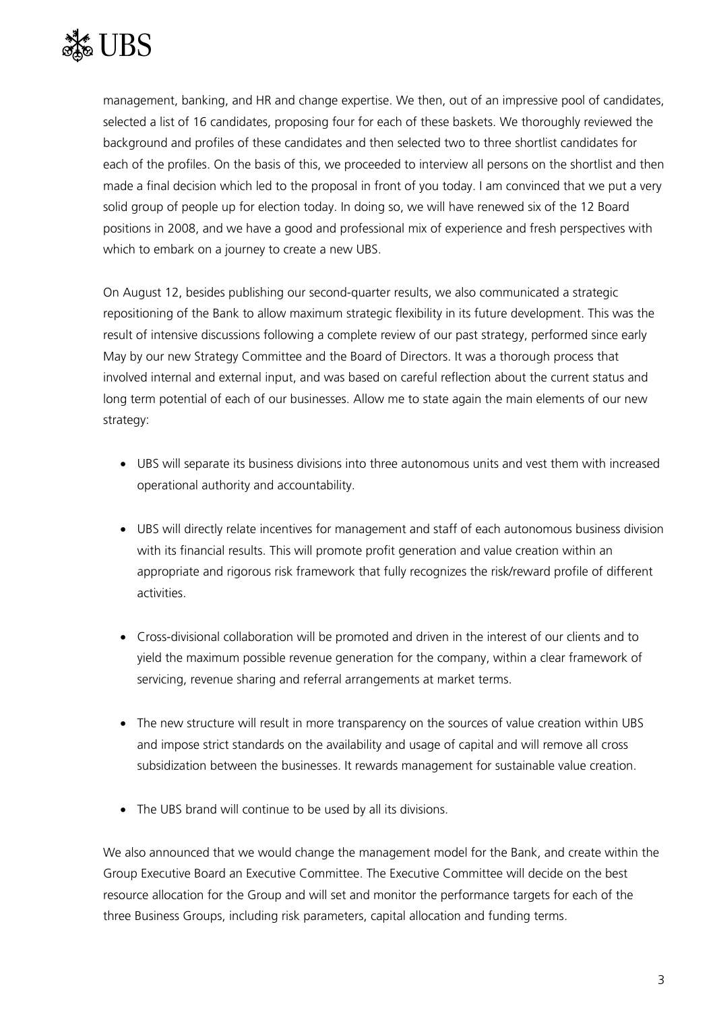

management, banking, and HR and change expertise. We then, out of an impressive pool of candidates, selected a list of 16 candidates, proposing four for each of these baskets. We thoroughly reviewed the background and profiles of these candidates and then selected two to three shortlist candidates for each of the profiles. On the basis of this, we proceeded to interview all persons on the shortlist and then made a final decision which led to the proposal in front of you today. I am convinced that we put a very solid group of people up for election today. In doing so, we will have renewed six of the 12 Board positions in 2008, and we have a good and professional mix of experience and fresh perspectives with which to embark on a journey to create a new UBS.

On August 12, besides publishing our second-quarter results, we also communicated a strategic repositioning of the Bank to allow maximum strategic flexibility in its future development. This was the result of intensive discussions following a complete review of our past strategy, performed since early May by our new Strategy Committee and the Board of Directors. It was a thorough process that involved internal and external input, and was based on careful reflection about the current status and long term potential of each of our businesses. Allow me to state again the main elements of our new strategy:

- UBS will separate its business divisions into three autonomous units and vest them with increased operational authority and accountability.
- UBS will directly relate incentives for management and staff of each autonomous business division with its financial results. This will promote profit generation and value creation within an appropriate and rigorous risk framework that fully recognizes the risk/reward profile of different activities.
- Cross-divisional collaboration will be promoted and driven in the interest of our clients and to yield the maximum possible revenue generation for the company, within a clear framework of servicing, revenue sharing and referral arrangements at market terms.
- The new structure will result in more transparency on the sources of value creation within UBS and impose strict standards on the availability and usage of capital and will remove all cross subsidization between the businesses. It rewards management for sustainable value creation.
- The UBS brand will continue to be used by all its divisions.

We also announced that we would change the management model for the Bank, and create within the Group Executive Board an Executive Committee. The Executive Committee will decide on the best resource allocation for the Group and will set and monitor the performance targets for each of the three Business Groups, including risk parameters, capital allocation and funding terms.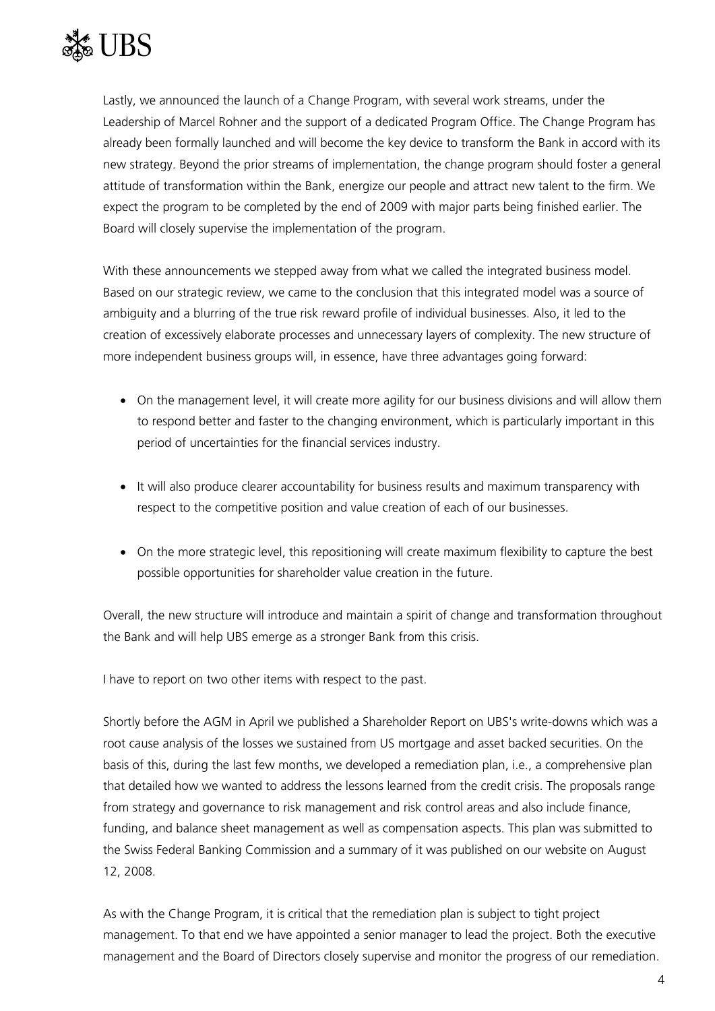

Lastly, we announced the launch of a Change Program, with several work streams, under the Leadership of Marcel Rohner and the support of a dedicated Program Office. The Change Program has already been formally launched and will become the key device to transform the Bank in accord with its new strategy. Beyond the prior streams of implementation, the change program should foster a general attitude of transformation within the Bank, energize our people and attract new talent to the firm. We expect the program to be completed by the end of 2009 with major parts being finished earlier. The Board will closely supervise the implementation of the program.

With these announcements we stepped away from what we called the integrated business model. Based on our strategic review, we came to the conclusion that this integrated model was a source of ambiguity and a blurring of the true risk reward profile of individual businesses. Also, it led to the creation of excessively elaborate processes and unnecessary layers of complexity. The new structure of more independent business groups will, in essence, have three advantages going forward:

- On the management level, it will create more agility for our business divisions and will allow them to respond better and faster to the changing environment, which is particularly important in this period of uncertainties for the financial services industry.
- It will also produce clearer accountability for business results and maximum transparency with respect to the competitive position and value creation of each of our businesses.
- On the more strategic level, this repositioning will create maximum flexibility to capture the best possible opportunities for shareholder value creation in the future.

Overall, the new structure will introduce and maintain a spirit of change and transformation throughout the Bank and will help UBS emerge as a stronger Bank from this crisis.

I have to report on two other items with respect to the past.

Shortly before the AGM in April we published a Shareholder Report on UBS's write-downs which was a root cause analysis of the losses we sustained from US mortgage and asset backed securities. On the basis of this, during the last few months, we developed a remediation plan, i.e., a comprehensive plan that detailed how we wanted to address the lessons learned from the credit crisis. The proposals range from strategy and governance to risk management and risk control areas and also include finance, funding, and balance sheet management as well as compensation aspects. This plan was submitted to the Swiss Federal Banking Commission and a summary of it was published on our website on August 12, 2008.

As with the Change Program, it is critical that the remediation plan is subject to tight project management. To that end we have appointed a senior manager to lead the project. Both the executive management and the Board of Directors closely supervise and monitor the progress of our remediation.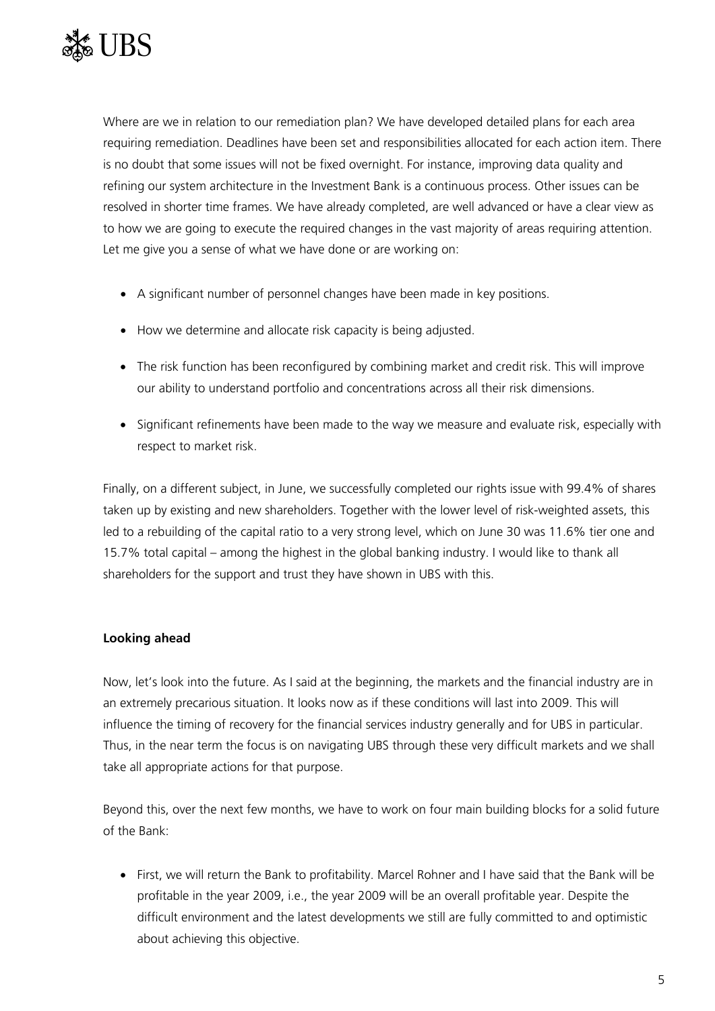

Where are we in relation to our remediation plan? We have developed detailed plans for each area requiring remediation. Deadlines have been set and responsibilities allocated for each action item. There is no doubt that some issues will not be fixed overnight. For instance, improving data quality and refining our system architecture in the Investment Bank is a continuous process. Other issues can be resolved in shorter time frames. We have already completed, are well advanced or have a clear view as to how we are going to execute the required changes in the vast majority of areas requiring attention. Let me give you a sense of what we have done or are working on:

- A significant number of personnel changes have been made in key positions.
- How we determine and allocate risk capacity is being adjusted.
- The risk function has been reconfigured by combining market and credit risk. This will improve our ability to understand portfolio and concentrations across all their risk dimensions.
- Significant refinements have been made to the way we measure and evaluate risk, especially with respect to market risk.

Finally, on a different subject, in June, we successfully completed our rights issue with 99.4% of shares taken up by existing and new shareholders. Together with the lower level of risk-weighted assets, this led to a rebuilding of the capital ratio to a very strong level, which on June 30 was 11.6% tier one and 15.7% total capital – among the highest in the global banking industry. I would like to thank all shareholders for the support and trust they have shown in UBS with this.

### **Looking ahead**

Now, let's look into the future. As I said at the beginning, the markets and the financial industry are in an extremely precarious situation. It looks now as if these conditions will last into 2009. This will influence the timing of recovery for the financial services industry generally and for UBS in particular. Thus, in the near term the focus is on navigating UBS through these very difficult markets and we shall take all appropriate actions for that purpose.

Beyond this, over the next few months, we have to work on four main building blocks for a solid future of the Bank:

• First, we will return the Bank to profitability. Marcel Rohner and I have said that the Bank will be profitable in the year 2009, i.e., the year 2009 will be an overall profitable year. Despite the difficult environment and the latest developments we still are fully committed to and optimistic about achieving this objective.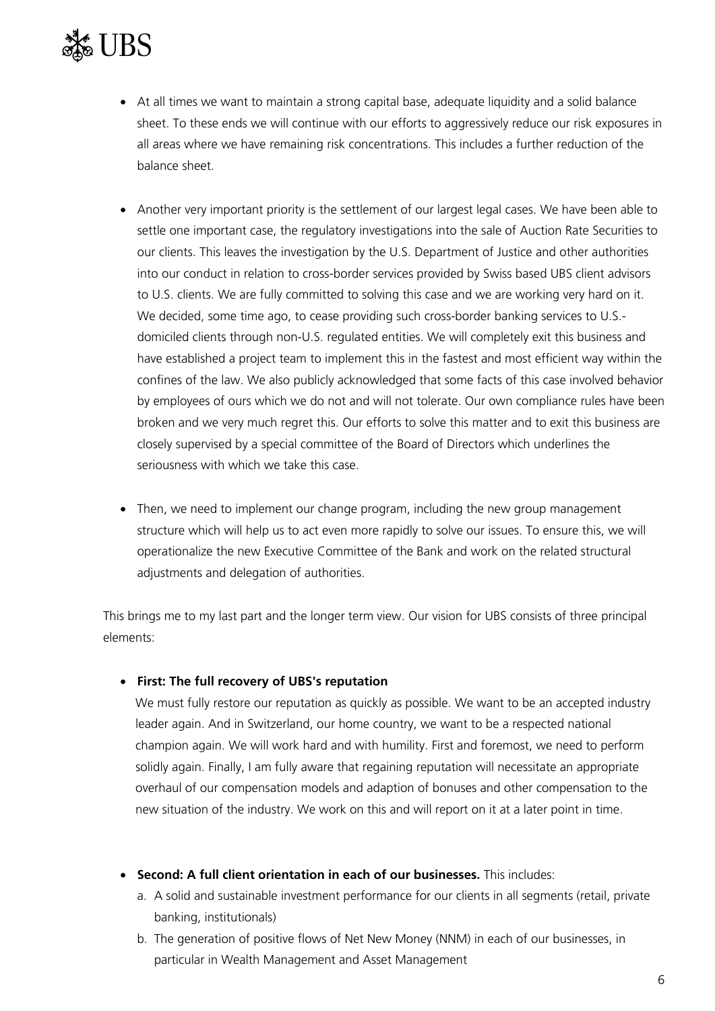

- At all times we want to maintain a strong capital base, adequate liquidity and a solid balance sheet. To these ends we will continue with our efforts to aggressively reduce our risk exposures in all areas where we have remaining risk concentrations. This includes a further reduction of the balance sheet.
- Another very important priority is the settlement of our largest legal cases. We have been able to settle one important case, the regulatory investigations into the sale of Auction Rate Securities to our clients. This leaves the investigation by the U.S. Department of Justice and other authorities into our conduct in relation to cross-border services provided by Swiss based UBS client advisors to U.S. clients. We are fully committed to solving this case and we are working very hard on it. We decided, some time ago, to cease providing such cross-border banking services to U.S. domiciled clients through non-U.S. regulated entities. We will completely exit this business and have established a project team to implement this in the fastest and most efficient way within the confines of the law. We also publicly acknowledged that some facts of this case involved behavior by employees of ours which we do not and will not tolerate. Our own compliance rules have been broken and we very much regret this. Our efforts to solve this matter and to exit this business are closely supervised by a special committee of the Board of Directors which underlines the seriousness with which we take this case.
- Then, we need to implement our change program, including the new group management structure which will help us to act even more rapidly to solve our issues. To ensure this, we will operationalize the new Executive Committee of the Bank and work on the related structural adjustments and delegation of authorities.

This brings me to my last part and the longer term view. Our vision for UBS consists of three principal elements:

• **First: The full recovery of UBS's reputation**

We must fully restore our reputation as quickly as possible. We want to be an accepted industry leader again. And in Switzerland, our home country, we want to be a respected national champion again. We will work hard and with humility. First and foremost, we need to perform solidly again. Finally, I am fully aware that regaining reputation will necessitate an appropriate overhaul of our compensation models and adaption of bonuses and other compensation to the new situation of the industry. We work on this and will report on it at a later point in time.

- **Second: A full client orientation in each of our businesses.** This includes:
	- a. A solid and sustainable investment performance for our clients in all segments (retail, private banking, institutionals)
	- b. The generation of positive flows of Net New Money (NNM) in each of our businesses, in particular in Wealth Management and Asset Management